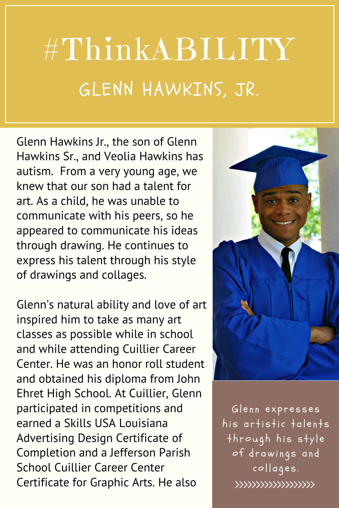## #ThinkABILITY GLENN HAWKINS, JR.

Glenn Hawkins Jr., the son of Glenn Hawkins Sr., and Veolia Hawkins has autism. From a very young age, we knew that our son had a talent for art. As a child, he was unable to communicate with his peers, so he appeared to communicate his ideas through drawing. He continues to express his talent through his style of drawings and collages.

Glenn's natural ability and love of art inspired him to take as many art classes as possible while in school and while attending Cuillier Career Center. He was an honor roll student and obtained his diploma from John Ehret High School. At Cuillier, Glenn participated in competitions and earned a Skills USA Louisiana Advertising Design Certificate of Completion and a Jefferson Parish School Cuillier Career Center Certificate for Graphic Arts. He also



Glenn expresses his artistic talents through his style of drawings and collages. \*\*\*\*\*\*\*\*\*\*\*\*\*\*\*\*\*\*